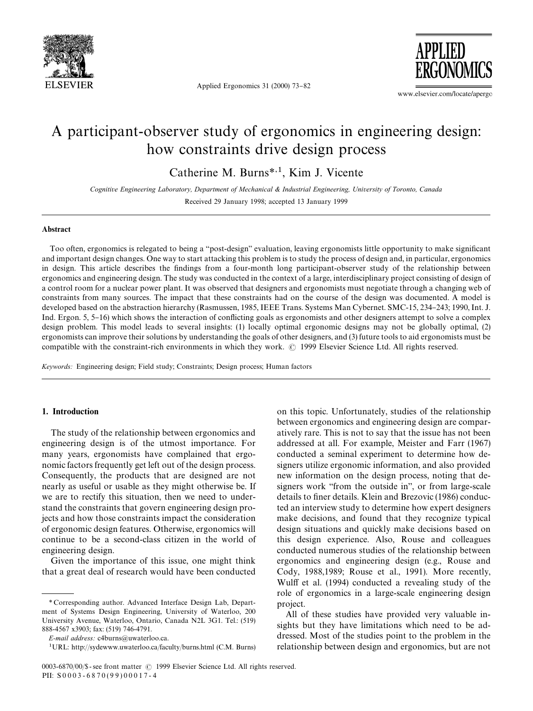

Applied Ergonomics 31 (2000)  $73-82$ 

www.elsevier.com/locate/apergo

# A participant-observer study of ergonomics in engineering design: how constraints drive design process

Catherine M. Burns*\**,1, Kim J. Vicente

*Cognitive Engineering Laboratory, Department of Mechanical & Industrial Engineering, University of Toronto, Canada* Received 29 January 1998; accepted 13 January 1999

## Abstract

Too often, ergonomics is relegated to being a "post-design" evaluation, leaving ergonomists little opportunity to make significant and important design changes. One way to start attacking this problem is to study the process of design and, in particular, ergonomics in design. This article describes the findings from a four-month long participant-observer study of the relationship between ergonomics and engineering design. The study was conducted in the context of a large, interdisciplinary project consisting of design of a control room for a nuclear power plant. It was observed that designers and ergonomists must negotiate through a changing web of constraints from many sources. The impact that these constraints had on the course of the design was documented. A model is developed based on the abstraction hierarchy (Rasmussen, 1985, IEEE Trans. Systems Man Cybernet. SMC-15, 234-243; 1990, Int. J. Ind. Ergon. 5, 5–16) which shows the interaction of conflicting goals as ergonomists and other designers attempt to solve a complex design problem. This model leads to several insights: (1) locally optimal ergonomic designs may not be globally optimal, (2) ergonomists can improve their solutions by understanding the goals of other designers, and (3) future tools to aid ergonomists must be compatible with the constraint-rich environments in which they work.  $\odot$  1999 Elsevier Science Ltd. All rights reserved.

*Keywords:* Engineering design; Field study; Constraints; Design process; Human factors

# 1. Introduction

The study of the relationship between ergonomics and engineering design is of the utmost importance. For many years, ergonomists have complained that ergonomic factors frequently get left out of the design process. Consequently, the products that are designed are not nearly as useful or usable as they might otherwise be. If we are to rectify this situation, then we need to understand the constraints that govern engineering design projects and how those constraints impact the consideration of ergonomic design features. Otherwise, ergonomics will continue to be a second-class citizen in the world of engineering design.

Given the importance of this issue, one might think that a great deal of research would have been conducted

*E-mail address:* c4burns@uwaterloo.ca.

on this topic. Unfortunately, studies of the relationship between ergonomics and engineering design are comparatively rare. This is not to say that the issue has not been addressed at all. For example, Meister and Farr (1967) conducted a seminal experiment to determine how designers utilize ergonomic information, and also provided new information on the design process, noting that designers work "from the outside in", or from large-scale details to finer details. Klein and Brezovic (1986) conducted an interview study to determine how expert designers make decisions, and found that they recognize typical design situations and quickly make decisions based on this design experience. Also, Rouse and colleagues conducted numerous studies of the relationship between ergonomics and engineering design (e.g., Rouse and Cody, 1988,1989; Rouse et al., 1991). More recently, Wulff et al. (1994) conducted a revealing study of the role of ergonomics in a large-scale engineering design project.

All of these studies have provided very valuable insights but they have limitations which need to be addressed. Most of the studies point to the problem in the relationship between design and ergonomics, but are not

*<sup>\*</sup>* Corresponding author. Advanced Interface Design Lab, Department of Systems Design Engineering, University of Waterloo, 200 University Avenue, Waterloo, Ontario, Canada N2L 3G1. Tel.: (519) 888-4567 x3903; fax: (519) 746-4791.

<sup>1</sup>URL: http://sydewww.uwaterloo.ca/faculty/burns.html (C.M. Burns)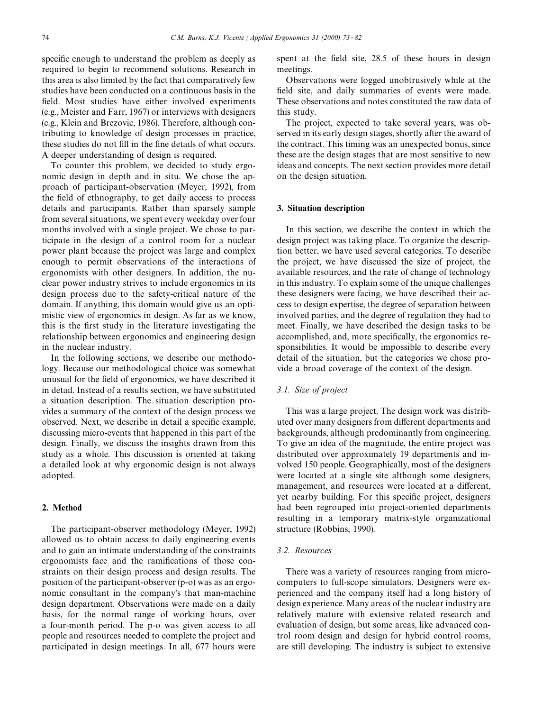specific enough to understand the problem as deeply as required to begin to recommend solutions. Research in this area is also limited by the fact that comparatively few studies have been conducted on a continuous basis in the field. Most studies have either involved experiments (e.g., Meister and Farr, 1967) or interviews with designers (e.g., Klein and Brezovic, 1986). Therefore, although contributing to knowledge of design processes in practice, these studies do not fill in the fine details of what occurs. A deeper understanding of design is required.

To counter this problem, we decided to study ergonomic design in depth and in situ. We chose the approach of participant-observation (Meyer, 1992), from the field of ethnography, to get daily access to process details and participants. Rather than sparsely sample from several situations, we spent every weekday over four months involved with a single project. We chose to participate in the design of a control room for a nuclear power plant because the project was large and complex enough to permit observations of the interactions of ergonomists with other designers. In addition, the nuclear power industry strives to include ergonomics in its design process due to the safety-critical nature of the domain. If anything, this domain would give us an optimistic view of ergonomics in design. As far as we know, this is the first study in the literature investigating the relationship between ergonomics and engineering design in the nuclear industry.

In the following sections, we describe our methodology. Because our methodological choice was somewhat unusual for the field of ergonomics, we have described it in detail. Instead of a results section, we have substituted a situation description. The situation description provides a summary of the context of the design process we observed. Next, we describe in detail a specific example, discussing micro-events that happened in this part of the design. Finally, we discuss the insights drawn from this study as a whole. This discussion is oriented at taking a detailed look at why ergonomic design is not always adopted.

# 2. Method

The participant-observer methodology (Meyer, 1992) allowed us to obtain access to daily engineering events and to gain an intimate understanding of the constraints ergonomists face and the ramifications of those constraints on their design process and design results. The position of the participant-observer (p-o) was as an ergonomic consultant in the company's that man-machine design department. Observations were made on a daily basis, for the normal range of working hours, over a four-month period. The p-o was given access to all people and resources needed to complete the project and participated in design meetings. In all, 677 hours were

spent at the field site, 28.5 of these hours in design meetings.

Observations were logged unobtrusively while at the field site, and daily summaries of events were made. These observations and notes constituted the raw data of this study.

The project, expected to take several years, was observed in its early design stages, shortly after the award of the contract. This timing was an unexpected bonus, since these are the design stages that are most sensitive to new ideas and concepts. The next section provides more detail on the design situation.

## 3. Situation description

In this section, we describe the context in which the design project was taking place. To organize the description better, we have used several categories. To describe the project, we have discussed the size of project, the available resources, and the rate of change of technology in this industry. To explain some of the unique challenges these designers were facing, we have described their access to design expertise, the degree of separation between involved parties, and the degree of regulation they had to meet. Finally, we have described the design tasks to be accomplished, and, more specifically, the ergonomics responsibilities. It would be impossible to describe every detail of the situation, but the categories we chose provide a broad coverage of the context of the design.

## *3.1. Size of project*

This was a large project. The design work was distributed over many designers from different departments and backgrounds, although predominantly from engineering. To give an idea of the magnitude, the entire project was distributed over approximately 19 departments and involved 150 people. Geographically, most of the designers were located at a single site although some designers, management, and resources were located at a different, yet nearby building. For this specific project, designers had been regrouped into project-oriented departments resulting in a temporary matrix-style organizational structure (Robbins, 1990).

## *3.2. Resources*

There was a variety of resources ranging from microcomputers to full-scope simulators. Designers were experienced and the company itself had a long history of design experience. Many areas of the nuclear industry are relatively mature with extensive related research and evaluation of design, but some areas, like advanced control room design and design for hybrid control rooms, are still developing. The industry is subject to extensive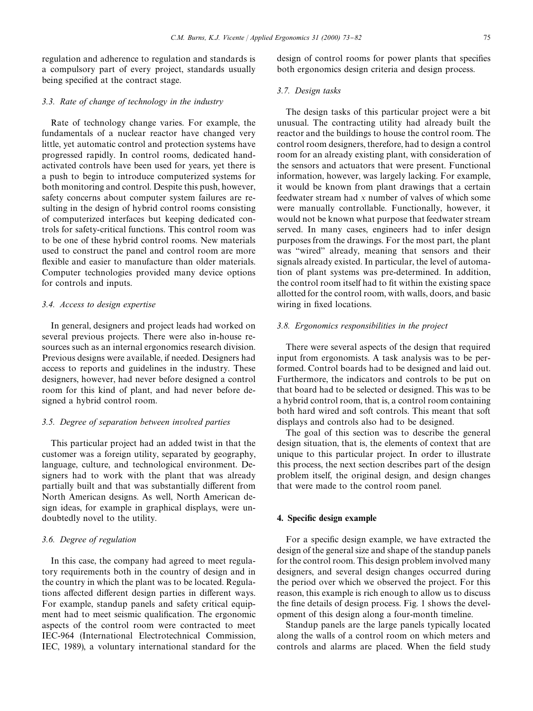regulation and adherence to regulation and standards is a compulsory part of every project, standards usually being specified at the contract stage.

## *3.3. Rate of change of technology in the industry*

Rate of technology change varies. For example, the fundamentals of a nuclear reactor have changed very little, yet automatic control and protection systems have progressed rapidly. In control rooms, dedicated handactivated controls have been used for years, yet there is a push to begin to introduce computerized systems for both monitoring and control. Despite this push, however, safety concerns about computer system failures are resulting in the design of hybrid control rooms consisting of computerized interfaces but keeping dedicated controls for safety-critical functions. This control room was to be one of these hybrid control rooms. New materials used to construct the panel and control room are more flexible and easier to manufacture than older materials. Computer technologies provided many device options for controls and inputs.

#### *3.4. Access to design expertise*

In general, designers and project leads had worked on several previous projects. There were also in-house resources such as an internal ergonomics research division. Previous designs were available, if needed. Designers had access to reports and guidelines in the industry. These designers, however, had never before designed a control room for this kind of plant, and had never before designed a hybrid control room.

## *3.5. Degree of separation between involved parties*

This particular project had an added twist in that the customer was a foreign utility, separated by geography, language, culture, and technological environment. Designers had to work with the plant that was already partially built and that was substantially different from North American designs. As well, North American design ideas, for example in graphical displays, were undoubtedly novel to the utility.

#### *3.6. Degree of regulation*

In this case, the company had agreed to meet regulatory requirements both in the country of design and in the country in which the plant was to be located. Regulations affected different design parties in different ways. For example, standup panels and safety critical equipment had to meet seismic qualification. The ergonomic aspects of the control room were contracted to meet IEC-964 (International Electrotechnical Commission, IEC, 1989), a voluntary international standard for the design of control rooms for power plants that specifies both ergonomics design criteria and design process.

## *3.7. Design tasks*

The design tasks of this particular project were a bit unusual. The contracting utility had already built the reactor and the buildings to house the control room. The control room designers, therefore, had to design a control room for an already existing plant, with consideration of the sensors and actuators that were present. Functional information, however, was largely lacking. For example, it would be known from plant drawings that a certain feedwater stream had *x* number of valves of which some were manually controllable. Functionally, however, it would not be known what purpose that feedwater stream served. In many cases, engineers had to infer design purposes from the drawings. For the most part, the plant was "wired" already, meaning that sensors and their signals already existed. In particular, the level of automation of plant systems was pre-determined. In addition, the control room itself had to fit within the existing space allotted for the control room, with walls, doors, and basic wiring in fixed locations.

## *3.8. Ergonomics responsibilities in the project*

There were several aspects of the design that required input from ergonomists. A task analysis was to be performed. Control boards had to be designed and laid out. Furthermore, the indicators and controls to be put on that board had to be selected or designed. This was to be a hybrid control room, that is, a control room containing both hard wired and soft controls. This meant that soft displays and controls also had to be designed.

The goal of this section was to describe the general design situation, that is, the elements of context that are unique to this particular project. In order to illustrate this process, the next section describes part of the design problem itself, the original design, and design changes that were made to the control room panel.

### 4. Specific design example

For a specific design example, we have extracted the design of the general size and shape of the standup panels for the control room. This design problem involved many designers, and several design changes occurred during the period over which we observed the project. For this reason, this example is rich enough to allow us to discuss the fine details of design process. Fig. 1 shows the development of this design along a four-month timeline.

Standup panels are the large panels typically located along the walls of a control room on which meters and controls and alarms are placed. When the field study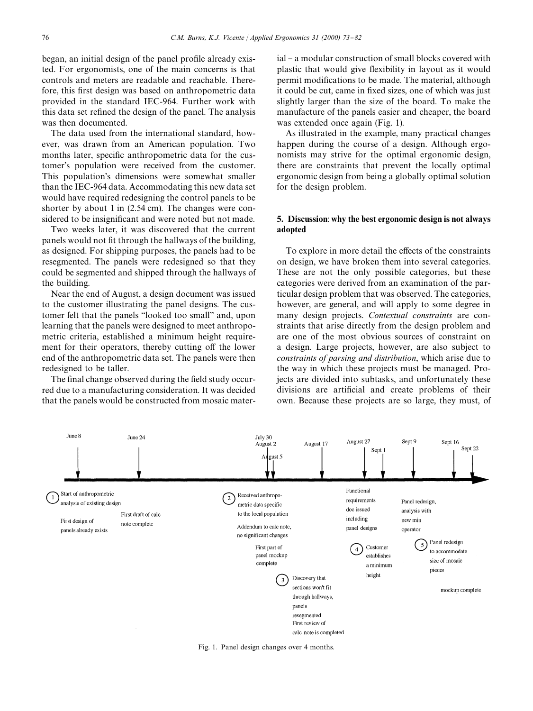began, an initial design of the panel profile already existed. For ergonomists, one of the main concerns is that controls and meters are readable and reachable. Therefore, this first design was based on anthropometric data provided in the standard IEC-964. Further work with this data set refined the design of the panel. The analysis was then documented.

The data used from the international standard, however, was drawn from an American population. Two months later, specific anthropometric data for the customer's population were received from the customer. This population's dimensions were somewhat smaller than the IEC-964 data. Accommodating this new data set would have required redesigning the control panels to be shorter by about 1 in (2.54 cm). The changes were considered to be insignificant and were noted but not made.

Two weeks later, it was discovered that the current panels would not fit through the hallways of the building, as designed. For shipping purposes, the panels had to be resegmented. The panels were redesigned so that they could be segmented and shipped through the hallways of the building.

Near the end of August, a design document was issued to the customer illustrating the panel designs. The customer felt that the panels "looked too small" and, upon learning that the panels were designed to meet anthropometric criteria, established a minimum height requirement for their operators, thereby cutting off the lower end of the anthropometric data set. The panels were then redesigned to be taller.

The final change observed during the field study occurred due to a manufacturing consideration. It was decided that the panels would be constructed from mosaic material - a modular construction of small blocks covered with plastic that would give #exibility in layout as it would permit modifications to be made. The material, although it could be cut, came in fixed sizes, one of which was just slightly larger than the size of the board. To make the manufacture of the panels easier and cheaper, the board was extended once again (Fig. 1).

As illustrated in the example, many practical changes happen during the course of a design. Although ergonomists may strive for the optimal ergonomic design, there are constraints that prevent the locally optimal ergonomic design from being a globally optimal solution for the design problem.

# 5. Discussion: why the best ergonomic design is not always adopted

To explore in more detail the effects of the constraints on design, we have broken them into several categories. These are not the only possible categories, but these categories were derived from an examination of the particular design problem that was observed. The categories, however, are general, and will apply to some degree in many design projects. *Contextual constraints* are constraints that arise directly from the design problem and are one of the most obvious sources of constraint on a design. Large projects, however, are also subject to *constraints of parsing and distribution*, which arise due to the way in which these projects must be managed. Projects are divided into subtasks, and unfortunately these divisions are artificial and create problems of their own. Because these projects are so large, they must, of



Fig. 1. Panel design changes over 4 months.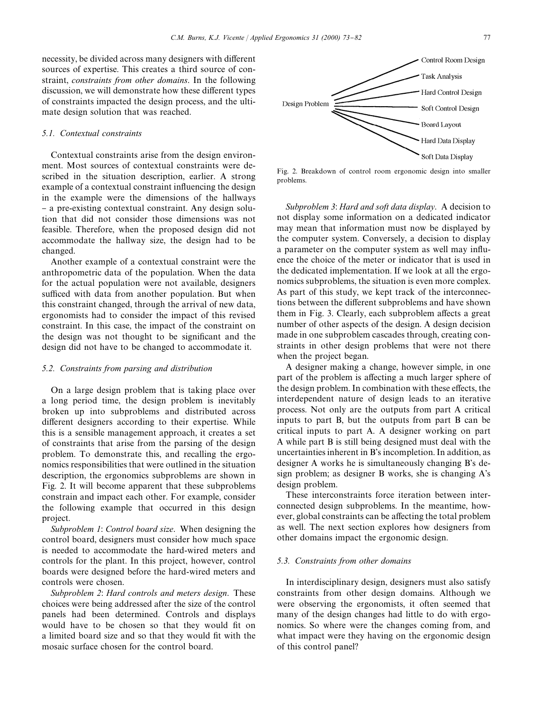necessity, be divided across many designers with different sources of expertise. This creates a third source of constraint, *constraints from other domains*. In the following discussion, we will demonstrate how these different types of constraints impacted the design process, and the ultimate design solution that was reached.

# *5.1. Contextual constraints*

Contextual constraints arise from the design environment. Most sources of contextual constraints were described in the situation description, earlier. A strong example of a contextual constraint influencing the design in the example were the dimensions of the hallways } a pre-existing contextual constraint. Any design solution that did not consider those dimensions was not feasible. Therefore, when the proposed design did not accommodate the hallway size, the design had to be changed.

Another example of a contextual constraint were the anthropometric data of the population. When the data for the actual population were not available, designers sufficed with data from another population. But when this constraint changed, through the arrival of new data, ergonomists had to consider the impact of this revised constraint. In this case, the impact of the constraint on the design was not thought to be significant and the design did not have to be changed to accommodate it.

#### *5.2. Constraints from parsing and distribution*

On a large design problem that is taking place over a long period time, the design problem is inevitably broken up into subproblems and distributed across different designers according to their expertise. While this is a sensible management approach, it creates a set of constraints that arise from the parsing of the design problem. To demonstrate this, and recalling the ergonomics responsibilities that were outlined in the situation description, the ergonomics subproblems are shown in Fig. 2. It will become apparent that these subproblems constrain and impact each other. For example, consider the following example that occurred in this design project.

*Subproblem 1*: *Control board size*. When designing the control board, designers must consider how much space is needed to accommodate the hard-wired meters and controls for the plant. In this project, however, control boards were designed before the hard-wired meters and controls were chosen.

*Subproblem 2*: *Hard controls and meters design*. These choices were being addressed after the size of the control panels had been determined. Controls and displays would have to be chosen so that they would fit on a limited board size and so that they would fit with the mosaic surface chosen for the control board.



Fig. 2. Breakdown of control room ergonomic design into smaller problems.

*Subproblem 3*: *Hard and soft data display*. A decision to not display some information on a dedicated indicator may mean that information must now be displayed by the computer system. Conversely, a decision to display a parameter on the computer system as well may influence the choice of the meter or indicator that is used in the dedicated implementation. If we look at all the ergonomics subproblems, the situation is even more complex. As part of this study, we kept track of the interconnections between the different subproblems and have shown them in Fig. 3. Clearly, each subproblem affects a great number of other aspects of the design. A design decision made in one subproblem cascades through, creating constraints in other design problems that were not there when the project began.

A designer making a change, however simple, in one part of the problem is affecting a much larger sphere of the design problem. In combination with these effects, the interdependent nature of design leads to an iterative process. Not only are the outputs from part A critical inputs to part B, but the outputs from part B can be critical inputs to part A. A designer working on part A while part B is still being designed must deal with the uncertainties inherent in B's incompletion. In addition, as designer A works he is simultaneously changing B's design problem; as designer B works, she is changing A's design problem.

These interconstraints force iteration between interconnected design subproblems. In the meantime, however, global constraints can be affecting the total problem as well. The next section explores how designers from other domains impact the ergonomic design.

#### *5.3. Constraints from other domains*

In interdisciplinary design, designers must also satisfy constraints from other design domains. Although we were observing the ergonomists, it often seemed that many of the design changes had little to do with ergonomics. So where were the changes coming from, and what impact were they having on the ergonomic design of this control panel?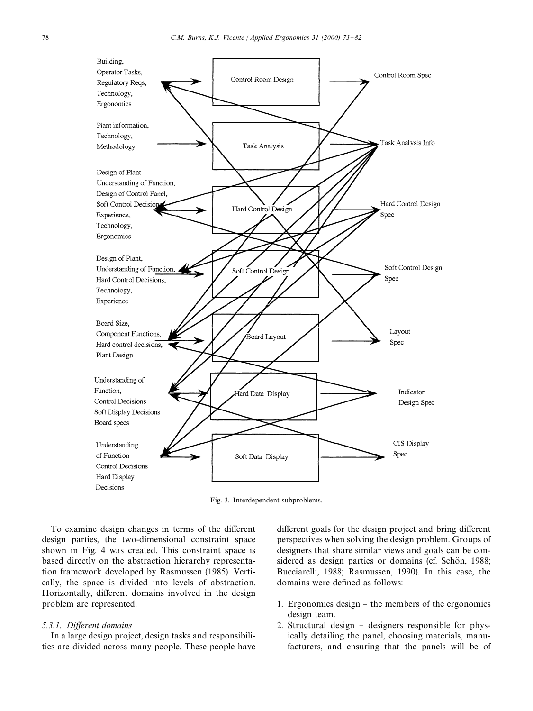

Fig. 3. Interdependent subproblems.

To examine design changes in terms of the different design parties, the two-dimensional constraint space shown in Fig. 4 was created. This constraint space is based directly on the abstraction hierarchy representation framework developed by Rasmussen (1985). Vertically, the space is divided into levels of abstraction. Horizontally, different domains involved in the design problem are represented.

#### 5.3.1. Different domains

In a large design project, design tasks and responsibilities are divided across many people. These people have different goals for the design project and bring different perspectives when solving the design problem. Groups of designers that share similar views and goals can be considered as design parties or domains (cf. Schön, 1988; Bucciarelli, 1988; Rasmussen, 1990). In this case, the domains were defined as follows:

- 1. Ergonomics design the members of the ergonomics design team.
- 2. Structural design designers responsible for physically detailing the panel, choosing materials, manufacturers, and ensuring that the panels will be of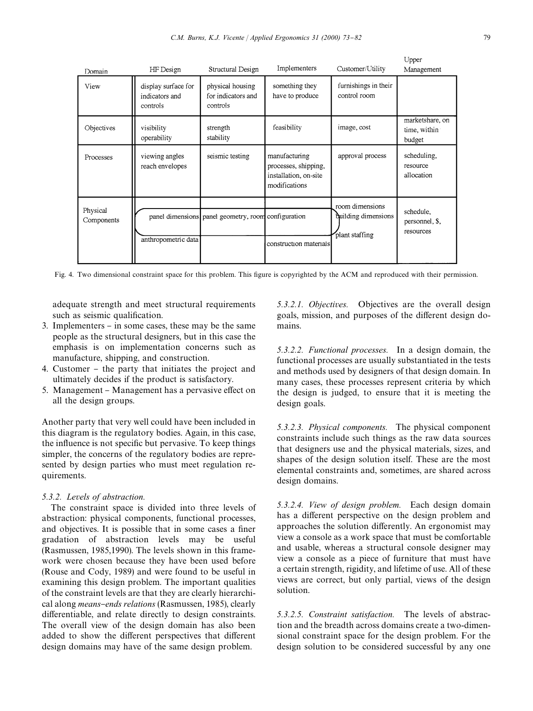| Domain                 | HF Design                                         | Structural Design                                   | Implementers                                                                    | Customer/Utility                                         | Opper<br>Management                       |
|------------------------|---------------------------------------------------|-----------------------------------------------------|---------------------------------------------------------------------------------|----------------------------------------------------------|-------------------------------------------|
| View                   | display surface for<br>indicators and<br>controls | physical housing<br>for indicators and<br>controls  | something they<br>have to produce                                               | furnishings in their<br>control room                     |                                           |
| Objectives             | visibility<br>operability                         | strength<br>stability                               | feasibility                                                                     | image, cost                                              | marketshare, on<br>time, within<br>budget |
| Processes              | viewing angles<br>reach envelopes                 | seismic testing                                     | manufacturing<br>processes, shipping,<br>installation, on-site<br>modifications | approval process                                         | scheduling,<br>resource<br>allocation     |
| Physical<br>Components | anthropometric data                               | panel dimensions panel geometry, room configuration | construction materials                                                          | room dimensions<br>building dimensions<br>plant staffing | schedule,<br>personnel, \$,<br>resources  |

Fig. 4. Two dimensional constraint space for this problem. This figure is copyrighted by the ACM and reproduced with their permission.

adequate strength and meet structural requirements such as seismic qualification.

- 3. Implementers  $-\text{in}$  some cases, these may be the same people as the structural designers, but in this case the emphasis is on implementation concerns such as manufacture, shipping, and construction.
- 4. Customer the party that initiates the project and ultimately decides if the product is satisfactory.
- 5. Management Management has a pervasive effect on all the design groups.

Another party that very well could have been included in this diagram is the regulatory bodies. Again, in this case, the influence is not specific but pervasive. To keep things simpler, the concerns of the regulatory bodies are represented by design parties who must meet regulation requirements.

# *5.3.2. Levels of abstraction.*

The constraint space is divided into three levels of abstraction: physical components, functional processes, and objectives. It is possible that in some cases a finer gradation of abstraction levels may be useful (Rasmussen, 1985,1990). The levels shown in this framework were chosen because they have been used before (Rouse and Cody, 1989) and were found to be useful in examining this design problem. The important qualities of the constraint levels are that they are clearly hierarchical along *means*}*ends relations* (Rasmussen, 1985), clearly differentiable, and relate directly to design constraints. The overall view of the design domain has also been added to show the different perspectives that different design domains may have of the same design problem.

*5.3.2.1. Objectives.* Objectives are the overall design goals, mission, and purposes of the different design domains.

*5.3.2.2. Functional processes.* In a design domain, the functional processes are usually substantiated in the tests and methods used by designers of that design domain. In many cases, these processes represent criteria by which the design is judged, to ensure that it is meeting the design goals.

*5.3.2.3. Physical components.* The physical component constraints include such things as the raw data sources that designers use and the physical materials, sizes, and shapes of the design solution itself. These are the most elemental constraints and, sometimes, are shared across design domains.

*5.3.2.4. View of design problem.* Each design domain has a different perspective on the design problem and approaches the solution differently. An ergonomist may view a console as a work space that must be comfortable and usable, whereas a structural console designer may view a console as a piece of furniture that must have a certain strength, rigidity, and lifetime of use. All of these views are correct, but only partial, views of the design solution.

*5.3.2.5. Constraint satisfaction.* The levels of abstraction and the breadth across domains create a two-dimensional constraint space for the design problem. For the design solution to be considered successful by any one

 $T_{\text{max}}$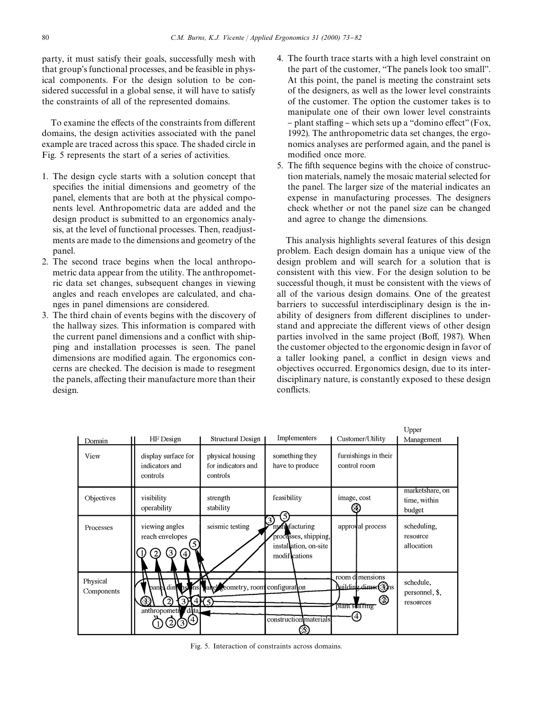party, it must satisfy their goals, successfully mesh with that group's functional processes, and be feasible in physical components. For the design solution to be considered successful in a global sense, it will have to satisfy the constraints of all of the represented domains.

To examine the effects of the constraints from different domains, the design activities associated with the panel example are traced across this space. The shaded circle in Fig. 5 represents the start of a series of activities.

- 1. The design cycle starts with a solution concept that specifies the initial dimensions and geometry of the panel, elements that are both at the physical components level. Anthropometric data are added and the design product is submitted to an ergonomics analysis, at the level of functional processes. Then, readjustments are made to the dimensions and geometry of the panel.
- 2. The second trace begins when the local anthropometric data appear from the utility. The anthropometric data set changes, subsequent changes in viewing angles and reach envelopes are calculated, and changes in panel dimensions are considered.
- 3. The third chain of events begins with the discovery of the hallway sizes. This information is compared with the current panel dimensions and a conflict with shipping and installation processes is seen. The panel dimensions are modified again. The ergonomics concerns are checked. The decision is made to resegment the panels, affecting their manufacture more than their design.
- 4. The fourth trace starts with a high level constraint on the part of the customer, "The panels look too small". At this point, the panel is meeting the constraint sets of the designers, as well as the lower level constraints of the customer. The option the customer takes is to manipulate one of their own lower level constraints  $\frac{1}{2}$  plant staffing – which sets up a "domino effect" (Fox, 1992). The anthropometric data set changes, the ergonomics analyses are performed again, and the panel is modified once more.
- 5. The fifth sequence begins with the choice of construction materials, namely the mosaic material selected for the panel. The larger size of the material indicates an expense in manufacturing processes. The designers check whether or not the panel size can be changed and agree to change the dimensions.

This analysis highlights several features of this design problem. Each design domain has a unique view of the design problem and will search for a solution that is consistent with this view. For the design solution to be successful though, it must be consistent with the views of all of the various design domains. One of the greatest barriers to successful interdisciplinary design is the inability of designers from different disciplines to understand and appreciate the different views of other design parties involved in the same project (Boff, 1987). When the customer objected to the ergonomic design in favor of a taller looking panel, a conflict in design views and objectives occurred. Ergonomics design, due to its interdisciplinary nature, is constantly exposed to these design conflicts.

|                        |                                                                                                   |                                                    |                                                                                       |                                                                      | Upper                                     |
|------------------------|---------------------------------------------------------------------------------------------------|----------------------------------------------------|---------------------------------------------------------------------------------------|----------------------------------------------------------------------|-------------------------------------------|
| Domain                 | HF Design                                                                                         | Structural Design                                  | Implementers                                                                          | Customer/Utility                                                     | Management                                |
| View                   | display surface for<br>indicators and<br>controls                                                 | physical housing<br>for indicators and<br>controls | something they<br>have to produce                                                     | furnishings in their<br>control room                                 |                                           |
| Objectives             | visibility<br>operability                                                                         | strength<br>stability                              | feasibility                                                                           | image, cost                                                          | marketshare, on<br>time, within<br>budget |
| Processes              | viewing angles<br>reach envelopes<br>5<br>$\left(3\right)$<br>$\overline{2}$<br>$\left( 4\right)$ | seismic testing                                    | 3)<br>man facturing<br>processes, shipping,<br>installation, on-site<br>modifications | approval process                                                     | scheduling,<br>resource<br>allocation     |
| Physical<br>Components | oan <b>el</b> din <b>k</b> hst<br>ms<br>3H4K5<br>(4)<br>$2)$<br>anthropometri data.               | anel Seometry, room configuration                  | construction materials                                                                | room dimensions<br><b>Duilding dimer</b> 3 hs<br>②<br>plant starting | schedule.<br>personnel, \$,<br>resources  |

Fig. 5. Interaction of constraints across domains.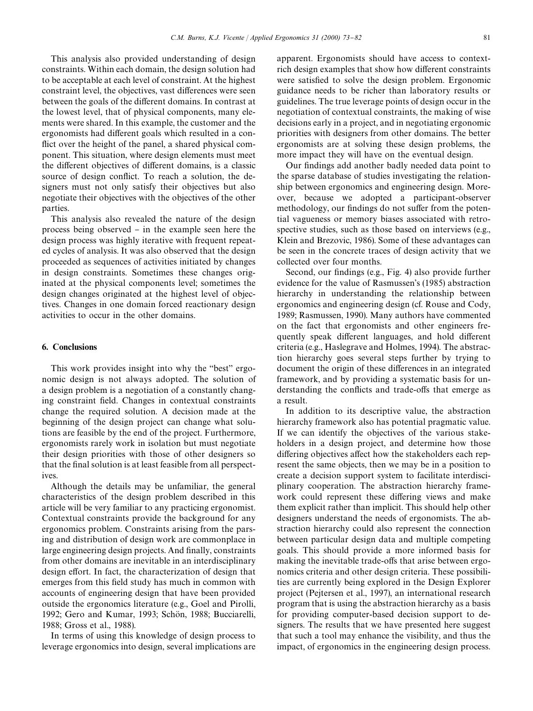This analysis also provided understanding of design constraints. Within each domain, the design solution had to be acceptable at each level of constraint. At the highest constraint level, the objectives, vast differences were seen between the goals of the different domains. In contrast at the lowest level, that of physical components, many elements were shared. In this example, the customer and the ergonomists had different goals which resulted in a conflict over the height of the panel, a shared physical component. This situation, where design elements must meet the different objectives of different domains, is a classic source of design conflict. To reach a solution, the designers must not only satisfy their objectives but also negotiate their objectives with the objectives of the other parties.

This analysis also revealed the nature of the design process being observed } in the example seen here the design process was highly iterative with frequent repeated cycles of analysis. It was also observed that the design proceeded as sequences of activities initiated by changes in design constraints. Sometimes these changes originated at the physical components level; sometimes the design changes originated at the highest level of objectives. Changes in one domain forced reactionary design activities to occur in the other domains.

# 6. Conclusions

This work provides insight into why the "best" ergonomic design is not always adopted. The solution of a design problem is a negotiation of a constantly changing constraint field. Changes in contextual constraints change the required solution. A decision made at the beginning of the design project can change what solutions are feasible by the end of the project. Furthermore, ergonomists rarely work in isolation but must negotiate their design priorities with those of other designers so that the final solution is at least feasible from all perspectives.

Although the details may be unfamiliar, the general characteristics of the design problem described in this article will be very familiar to any practicing ergonomist. Contextual constraints provide the background for any ergonomics problem. Constraints arising from the parsing and distribution of design work are commonplace in large engineering design projects. And finally, constraints from other domains are inevitable in an interdisciplinary design effort. In fact, the characterization of design that emerges from this field study has much in common with accounts of engineering design that have been provided outside the ergonomics literature (e.g., Goel and Pirolli, 1992; Gero and Kumar, 1993; Schön, 1988; Bucciarelli, 1988; Gross et al., 1988).

In terms of using this knowledge of design process to leverage ergonomics into design, several implications are apparent. Ergonomists should have access to contextrich design examples that show how different constraints were satisfied to solve the design problem. Ergonomic guidance needs to be richer than laboratory results or guidelines. The true leverage points of design occur in the negotiation of contextual constraints, the making of wise decisions early in a project, and in negotiating ergonomic priorities with designers from other domains. The better ergonomists are at solving these design problems, the more impact they will have on the eventual design.

Our findings add another badly needed data point to the sparse database of studies investigating the relationship between ergonomics and engineering design. Moreover, because we adopted a participant-observer methodology, our findings do not suffer from the potential vagueness or memory biases associated with retrospective studies, such as those based on interviews (e.g., Klein and Brezovic, 1986). Some of these advantages can be seen in the concrete traces of design activity that we collected over four months.

Second, our findings (e.g., Fig. 4) also provide further evidence for the value of Rasmussen's (1985) abstraction hierarchy in understanding the relationship between ergonomics and engineering design (cf. Rouse and Cody, 1989; Rasmussen, 1990). Many authors have commented on the fact that ergonomists and other engineers frequently speak different languages, and hold different criteria (e.g., Haslegrave and Holmes, 1994). The abstraction hierarchy goes several steps further by trying to document the origin of these differences in an integrated framework, and by providing a systematic basis for understanding the conflicts and trade-offs that emerge as a result.

In addition to its descriptive value, the abstraction hierarchy framework also has potential pragmatic value. If we can identify the objectives of the various stakeholders in a design project, and determine how those differing objectives affect how the stakeholders each represent the same objects, then we may be in a position to create a decision support system to facilitate interdisciplinary cooperation. The abstraction hierarchy framework could represent these differing views and make them explicit rather than implicit. This should help other designers understand the needs of ergonomists. The abstraction hierarchy could also represent the connection between particular design data and multiple competing goals. This should provide a more informed basis for making the inevitable trade-offs that arise between ergonomics criteria and other design criteria. These possibilities are currently being explored in the Design Explorer project (Pejtersen et al., 1997), an international research program that is using the abstraction hierarchy as a basis for providing computer-based decision support to designers. The results that we have presented here suggest that such a tool may enhance the visibility, and thus the impact, of ergonomics in the engineering design process.